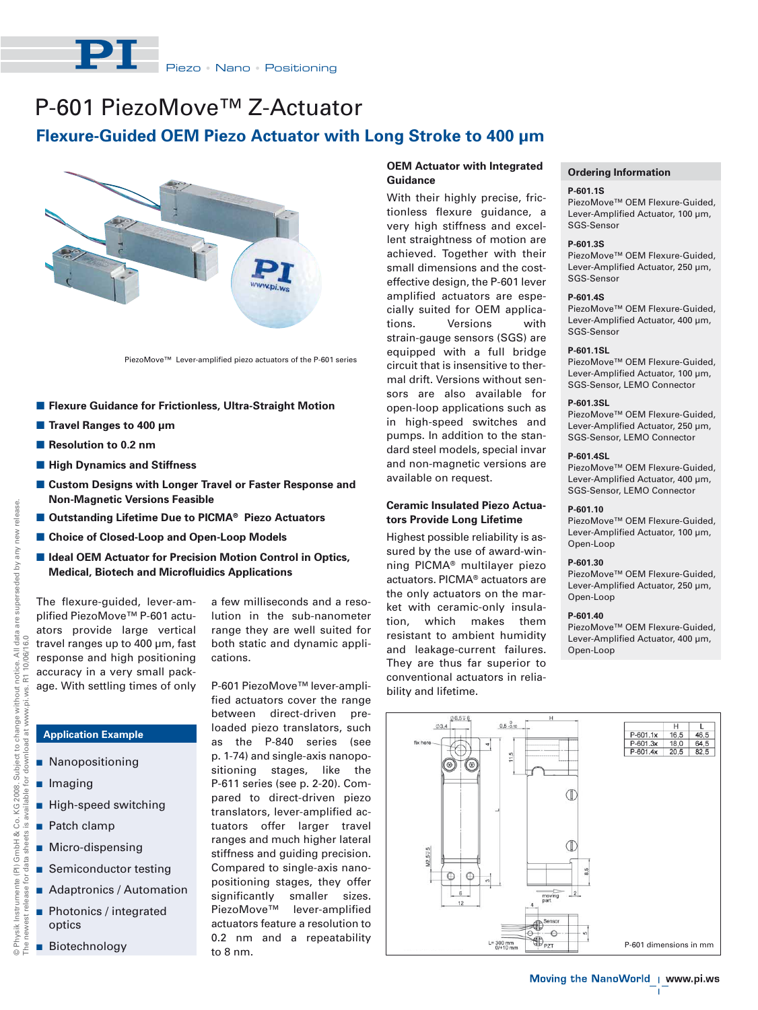

# P-601 PiezoMove™ Z-Actuator

# **Flexure-Guided OEM Piezo Actuator with Long Stroke to 400 μm**



PiezoMove™ Lever-amplified piezo actuators of the P-601 series

- **E** Flexure Guidance for Frictionless, Ultra-Straight Motion
- **Travel Ranges to 400 μm**
- **Resolution to 0.2 nm**
- $\blacksquare$  **High Dynamics and Stiffness**
- **E** Custom Designs with Longer Travel or Faster Response and **Non-Magnetic Versions Feasible**
- Outstanding Lifetime Due to PICMA<sup>®</sup> Piezo Actuators
- Choice of Closed-Loop and Open-Loop Models
- **E Ideal OEM Actuator for Precision Motion Control in Optics, Medical, Biotech and Microfluidics Applications**

The flexure-guided, lever-amplified PiezoMove™ P-601 actuators provide large vertical travel ranges up to 400 μm, fast response and high positioning accuracy in a very small package. With settling times of only

**Application Example**

**High-speed switching** 

**B** Semiconductor testing **Adaptronics / Automation Photonics / integrated** 

**Nanopositioning** 

**I** Imaging

**Patch clamp** 

optics

**Biotechnology** 

**Micro-dispensing** 

a few milliseconds and a resolution in the sub-nanometer range they are well suited for both static and dynamic applications.

P-601 PiezoMove™ lever-amplified actuators cover the range between direct-driven preloaded piezo translators, such as the P-840 series (see p. 1-74) and single-axis nanopositioning stages, like the P-611 series (see p. 2-20). Compared to direct-driven piezo translators, lever-amplified actuators offer larger travel ranges and much higher lateral stiffness and guiding precision. Compared to single-axis nanopositioning stages, they offer significantly smaller sizes. PiezoMove™ lever-amplified actuators feature a resolution to 0.2 nm and a repeatability to 8 nm.

# **OEM Actuator with Integrated Guidance**

With their highly precise, frictionless flexure guidance, a very high stiffness and excellent straightness of motion are achieved. Together with their small dimensions and the costeffective design, the P-601 lever amplified actuators are especially suited for OEM applications. Versions with strain-gauge sensors (SGS) are equipped with a full bridge circuit that is insensitive to thermal drift. Versions without sensors are also available for open-loop applications such as in high-speed switches and pumps. In addition to the standard steel models, special invar and non-magnetic versions are available on request.

# **Ceramic Insulated Piezo Actuators Provide Long Lifetime**

Highest possible reliability is assured by the use of award-winning PICMA® multilayer piezo actuators. PICMA® actuators are the only actuators on the market with ceramic-only insulation, which makes them resistant to ambient humidity and leakage-current failures. They are thus far superior to conventional actuators in reliability and lifetime.

# **Ordering Information**

#### **P-601.1S**

PiezoMove™ OEM Flexure-Guided, Lever-Amplified Actuator, 100 μm, SGS-Sensor

#### **P-601.3S**

PiezoMove™ OEM Flexure-Guided, Lever-Amplified Actuator, 250 μm, SGS-Sensor

### **P-601.4S**

PiezoMove™ OEM Flexure-Guided, Lever-Amplified Actuator, 400 μm, SGS-Sensor

# **P-601.1SL**

PiezoMove™ OEM Flexure-Guided, Lever-Amplified Actuator, 100 μm, SGS-Sensor, LEMO Connector

#### **P-601.3SL**

PiezoMove™ OEM Flexure-Guided, Lever-Amplified Actuator, 250 μm, SGS-Sensor, LEMO Connector

# **P-601.4SL**

PiezoMove™ OEM Flexure-Guided, Lever-Amplified Actuator, 400 μm, SGS-Sensor, LEMO Connector

#### **P-601.10**

PiezoMove™ OEM Flexure-Guided, Lever-Amplified Actuator, 100 μm, Open-Loop

# **P-601.30**

PiezoMove™ OEM Flexure-Guided, Lever-Amplified Actuator, 250 μm, Open-Loop

#### **P-601.40**

PiezoMove™ OEM Flexure-Guided, Lever-Amplified Actuator, 400 μm, Open-Loop